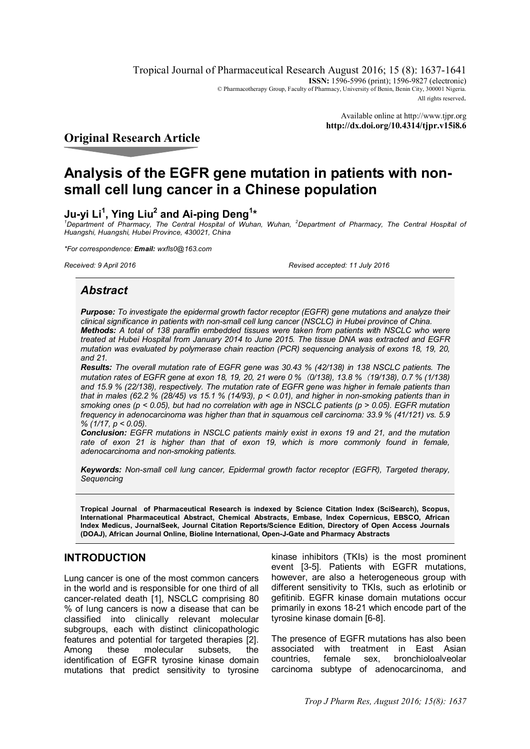Tropical Journal of Pharmaceutical Research August 2016; 15 (8): 1637-1641 **ISSN:** 1596-5996 (print); 1596-9827 (electronic) © Pharmacotherapy Group, Faculty of Pharmacy, University of Benin, Benin City, 300001 Nigeria. All rights reserved.

> Available online at <http://www.tjpr.org> **<http://dx.doi.org/10.4314/tjpr.v15i8.6>**

**Original Research Article**

# **Analysis of the EGFR gene mutation in patients with nonsmall cell lung cancer in a Chinese population**

# **Ju-yi Li<sup>1</sup> , Ying Liu<sup>2</sup> and Ai-ping Deng<sup>1</sup> \***

*<sup>1</sup>Department of Pharmacy, The Central Hospital of Wuhan, Wuhan, <sup>2</sup>Department of Pharmacy, The Central Hospital of Huangshi, Huangshi, Hubei Province, 430021, China*

*\*For correspondence: Email: [wxfls0@163.com](mailto:wxfls0@163.com)*

*Received: 9 April 2016 Revised accepted: 11 July 2016*

# *Abstract*

*Purpose: To investigate the epidermal growth factor receptor (EGFR) gene mutations and analyze their clinical significance in patients with non-small cell lung cancer (NSCLC) in Hubei province of China. Methods: A total of 138 paraffin embedded tissues were taken from patients with NSCLC who were treated at Hubei Hospital from January 2014 to June 2015. The tissue DNA was extracted and EGFR mutation was evaluated by polymerase chain reaction (PCR) sequencing analysis of exons 18, 19, 20, and 21.*

*Results: The overall mutation rate of EGFR gene was 30.43 % (42/138) in 138 NSCLC patients. The mutation rates of EGFR gene at exon 18, 19, 20, 21 were 0 %(0/138), 13.8 %(19/138), 0.7 % (1/138) and 15.9 % (22/138), respectively. The mutation rate of EGFR gene was higher in female patients than that in males (62.2 % (28/45) vs 15.1 % (14/93), p < 0.01), and higher in non-smoking patients than in smoking ones (p < 0.05), but had no correlation with age in NSCLC patients (p > 0.05). EGFR mutation frequency in adenocarcinoma was higher than that in squamous cell carcinoma: 33.9 % (41/121) vs. 5.9 % (1/17, p < 0.05).*

*Conclusion: EGFR mutations in NSCLC patients mainly exist in exons 19 and 21, and the mutation rate of exon 21 is higher than that of exon 19, which is more commonly found in female, adenocarcinoma and non-smoking patients.*

*Keywords: Non-small cell lung cancer, Epidermal growth factor receptor (EGFR), Targeted therapy, Sequencing*

**Tropical Journal of Pharmaceutical Research is indexed by Science Citation Index (SciSearch), Scopus, International Pharmaceutical Abstract, Chemical Abstracts, Embase, Index Copernicus, EBSCO, African Index Medicus, JournalSeek, Journal Citation Reports/Science Edition, Directory of Open Access Journals (DOAJ), African Journal Online, Bioline International, Open-J-Gate and Pharmacy Abstracts**

# **INTRODUCTION**

Lung cancer is one of the most common cancers in the world and is responsible for one third of all cancer-related death [1], NSCLC comprising 80 % of lung cancers is now a disease that can be classified into clinically relevant molecular subgroups, each with distinct clinicopathologic features and potential for targeted therapies [2]. Among these molecular subsets, the identification of EGFR tyrosine kinase domain mutations that predict sensitivity to tyrosine

kinase inhibitors (TKIs) is the most prominent event [3-5]. Patients with EGFR mutations, however, are also a heterogeneous group with different sensitivity to TKIs, such as erlotinib or gefitinib. EGFR kinase domain mutations occur primarily in exons 18-21 which encode part of the tyrosine kinase domain [6-8].

The presence of EGFR mutations has also been associated with treatment in East Asian countries, female sex, bronchioloalveolar carcinoma subtype of adenocarcinoma, and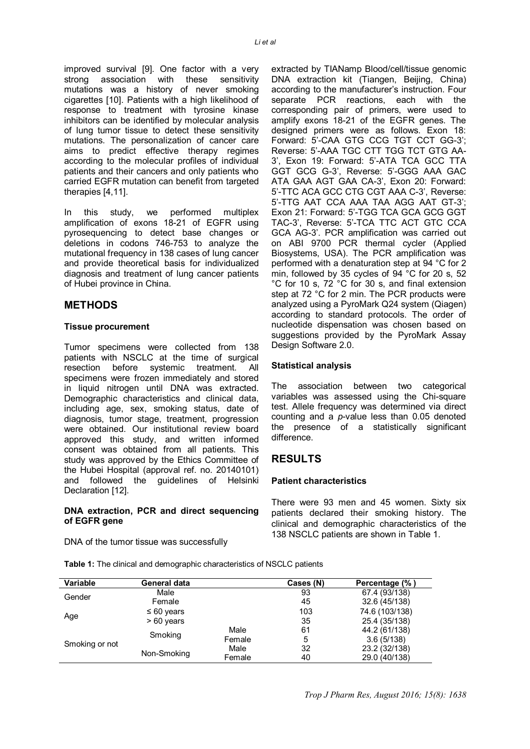improved survival [9]. One factor with a very strong association with these sensitivity mutations was a history of never smoking cigarettes [10]. Patients with a high likelihood of response to treatment with tyrosine kinase inhibitors can be identified by molecular analysis of lung tumor tissue to detect these sensitivity mutations. The personalization of cancer care aims to predict effective therapy regimes according to the molecular profiles of individual patients and their cancers and only patients who carried EGFR mutation can benefit from targeted therapies [4,11].

In this study, we performed multiplex amplification of exons 18-21 of EGFR using pyrosequencing to detect base changes or deletions in codons 746-753 to analyze the mutational frequency in 138 cases of lung cancer and provide theoretical basis for individualized diagnosis and treatment of lung cancer patients of Hubei province in China.

### **METHODS**

#### **Tissue procurement**

Tumor specimens were collected from 138 patients with NSCLC at the time of surgical resection before systemic treatment. All specimens were frozen immediately and stored in liquid nitrogen until DNA was extracted. Demographic characteristics and clinical data, including age, sex, smoking status, date of diagnosis, tumor stage, treatment, progression were obtained. Our institutional review board approved this study, and written informed consent was obtained from all patients. This study was approved by the Ethics Committee of the Hubei Hospital (approval ref. no. 20140101) and followed the guidelines of Helsinki Declaration [12].

#### **DNA extraction, PCR and direct sequencing of EGFR gene**

DNA of the tumor tissue was successfully

extracted by TIANamp Blood/cell/tissue genomic DNA extraction kit (Tiangen, Beijing, China) according to the manufacturer's instruction. Four separate PCR reactions, each with the corresponding pair of primers, were used to amplify exons 18-21 of the EGFR genes. The designed primers were as follows. Exon 18: Forward: 5'-CAA GTG CCG TGT CCT GG-3'; Reverse: 5'-AAA TGC CTT TGG TCT GTG AA-3', Exon 19: Forward: 5'-ATA TCA GCC TTA GGT GCG G-3', Reverse: 5'-GGG AAA GAC ATA GAA AGT GAA CA-3', Exon 20: Forward: 5'-TTC ACA GCC CTG CGT AAA C-3', Reverse: 5'-TTG AAT CCA AAA TAA AGG AAT GT-3'; Exon 21: Forward: 5'-TGG TCA GCA GCG GGT TAC-3', Reverse: 5'-TCA TTC ACT GTC CCA GCA AG-3'. PCR amplification was carried out on ABI 9700 PCR thermal cycler (Applied Biosystems, USA). The PCR amplification was performed with a denaturation step at 94 °C for 2 min, followed by 35 cycles of 94 °C for 20 s, 52 °C for 10 s, 72 °C for 30 s, and final extension step at 72 °C for 2 min. The PCR products were analyzed using a PyroMark Q24 system (Qiagen) according to standard protocols. The order of nucleotide dispensation was chosen based on suggestions provided by the PyroMark Assay Design Software 2.0.

#### **Statistical analysis**

The association between two categorical variables was assessed using the Chi-square test. Allele frequency was determined via direct counting and a *p*-value less than 0.05 denoted the presence of a statistically significant difference.

# **RESULTS**

#### **Patient characteristics**

There were 93 men and 45 women. Sixty six patients declared their smoking history. The clinical and demographic characteristics of the 138 NSCLC patients are shown in Table 1.

**Table 1:** The clinical and demographic characteristics of NSCLC patients

| <b>Variable</b> | General data    |        | Cases (N) | Percentage (%) |
|-----------------|-----------------|--------|-----------|----------------|
| Gender          | Male            |        | 93        | 67.4 (93/138)  |
|                 | Female          |        | 45        | 32.6 (45/138)  |
|                 | $\leq 60$ years |        | 103       | 74.6 (103/138) |
| Age             | $>60$ years     |        | 35        | 25.4 (35/138)  |
|                 |                 | Male   | 61        | 44.2 (61/138)  |
|                 | Smoking         | Female | 5         | 3.6(5/138)     |
| Smoking or not  |                 | Male   | 32        | 23.2 (32/138)  |
|                 | Non-Smoking     | Female | 40        | 29.0 (40/138)  |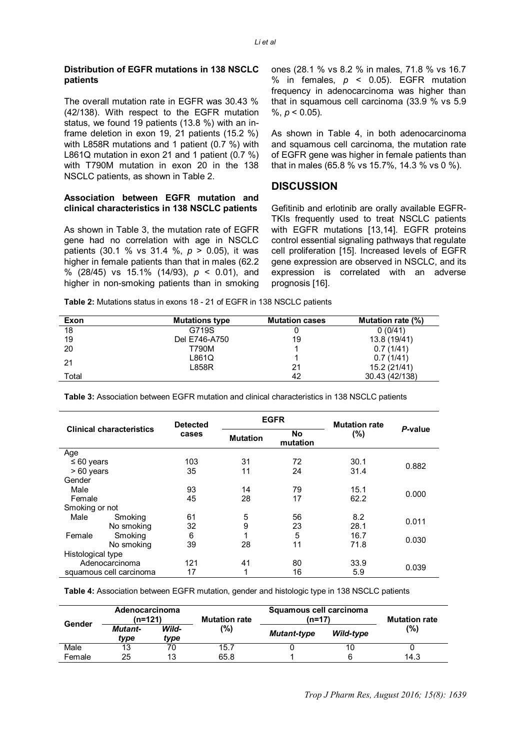#### **Distribution of EGFR mutations in 138 NSCLC patients**

The overall mutation rate in EGFR was 30.43 % (42/138). With respect to the EGFR mutation status, we found 19 patients (13.8 %) with an inframe deletion in exon 19, 21 patients (15.2 %) with L858R mutations and 1 patient (0.7 %) with L861Q mutation in exon 21 and 1 patient (0.7 %) with T790M mutation in exon 20 in the 138 NSCLC patients, as shown in Table 2.

#### **Association between EGFR mutation and clinical characteristics in 138 NSCLC patients**

As shown in Table 3, the mutation rate of EGFR gene had no correlation with age in NSCLC patients (30.1 % vs 31.4 %, *p* > 0.05), it was higher in female patients than that in males (62.2 % (28/45) vs 15.1% (14/93), *p* < 0.01), and higher in non-smoking patients than in smoking

ones (28.1 % vs 8.2 % in males, 71.8 % vs 16.7 % in females, *p* < 0.05). EGFR mutation frequency in adenocarcinoma was higher than that in squamous cell carcinoma (33.9 % vs 5.9  $\%$ ,  $p < 0.05$ ).

As shown in Table 4, in both adenocarcinoma and squamous cell carcinoma, the mutation rate of EGFR gene was higher in female patients than that in males (65.8 % vs 15.7%, 14.3 % vs 0 %).

# **DISCUSSION**

Gefitinib and erlotinib are orally available EGFR-TKIs frequently used to treat NSCLC patients with EGFR mutations [13,14]. EGFR proteins control essential signaling pathways that regulate cell proliferation [15]. Increased levels of EGFR gene expression are observed in NSCLC, and its expression is correlated with an adverse prognosis [16].

**Table 2:** Mutations status in exons 18 - 21 of EGFR in 138 NSCLC patients

| Exon  | <b>Mutations type</b> | <b>Mutation cases</b> | Mutation rate (%) |
|-------|-----------------------|-----------------------|-------------------|
| 18    | G719S                 |                       | 0(0/41)           |
| 19    | Del E746-A750         | 19                    | 13.8 (19/41)      |
| 20    | T790M                 |                       | 0.7(1/41)         |
| 21    | L861Q                 |                       | 0.7(1/41)         |
|       | L858R                 | 21                    | 15.2 (21/41)      |
| Total |                       | 42                    | 30.43 (42/138)    |

**Table 3:** Association between EGFR mutation and clinical characteristics in 138 NSCLC patients

| <b>Clinical characteristics</b> |            | <b>Detected</b> | <b>EGFR</b>     |                | <b>Mutation rate</b> |         |  |
|---------------------------------|------------|-----------------|-----------------|----------------|----------------------|---------|--|
|                                 |            | cases           | <b>Mutation</b> | No<br>mutation | (%)                  | P-value |  |
| Age                             |            |                 |                 |                |                      |         |  |
| $\leq 60$ years                 |            | 103             | 31              | 72             | 30.1                 |         |  |
| > 60 years                      |            | 35              | 11              | 24             | 31.4                 | 0.882   |  |
| Gender                          |            |                 |                 |                |                      |         |  |
| Male                            |            | 93              | 14              | 79             | 15.1                 |         |  |
| Female                          |            | 45              | 28              | 17             | 62.2                 | 0.000   |  |
| Smoking or not                  |            |                 |                 |                |                      |         |  |
| Male                            | Smoking    | 61              | 5               | 56             | 8.2                  |         |  |
|                                 | No smoking | 32              | 9               | 23             | 28.1                 | 0.011   |  |
| Female                          | Smoking    | 6               | 1               | 5              | 16.7                 | 0.030   |  |
|                                 | No smoking | 39              | 28              | 11             | 71.8                 |         |  |
| Histological type               |            |                 |                 |                |                      |         |  |
| Adenocarcinoma                  |            | 121             | 41              | 80             | 33.9                 |         |  |
| squamous cell carcinoma         |            | 17              | 1               | 16             | 5.9                  | 0.039   |  |

**Table 4:** Association between EGFR mutation, gender and histologic type in 138 NSCLC patients

| Gender | Adenocarcinoma<br>(n=121) |               | <b>Mutation rate</b> | Squamous cell carcinoma<br>(n=17) |           | <b>Mutation rate</b> |
|--------|---------------------------|---------------|----------------------|-----------------------------------|-----------|----------------------|
|        | <b>Mutant-</b><br>tvpe    | Wild-<br>tvpe | (%)                  | <b>Mutant-type</b>                | Wild-type | (%)                  |
| Male   | 13                        | 70            | 15.7                 |                                   | 10        |                      |
| Female | 25                        | 13            | 65.8                 |                                   |           | 14.3                 |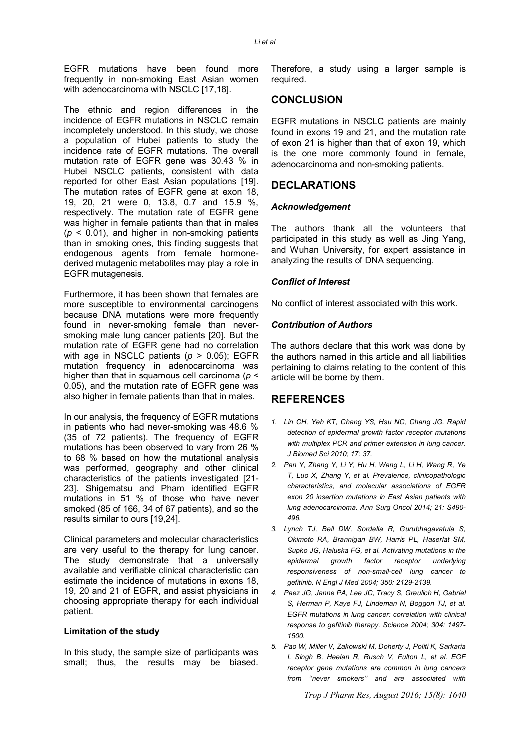EGFR mutations have been found more frequently in non-smoking East Asian women with adenocarcinoma with NSCLC [17,18].

The ethnic and region differences in the incidence of EGFR mutations in NSCLC remain incompletely understood. In this study, we chose a population of Hubei patients to study the incidence rate of EGFR mutations. The overall mutation rate of EGFR gene was 30.43 % in Hubei NSCLC patients, consistent with data reported for other East Asian populations [19]. The mutation rates of EGFR gene at exon 18, 19, 20, 21 were 0, 13.8, 0.7 and 15.9 %, respectively. The mutation rate of EGFR gene was higher in female patients than that in males  $(p < 0.01)$ , and higher in non-smoking patients than in smoking ones, this finding suggests that endogenous agents from female hormonederived mutagenic metabolites may play a role in EGFR mutagenesis.

Furthermore, it has been shown that females are more susceptible to environmental carcinogens because DNA mutations were more frequently found in never-smoking female than neversmoking male lung cancer patients [20]. But the mutation rate of EGFR gene had no correlation with age in NSCLC patients (*p* > 0.05); EGFR mutation frequency in adenocarcinoma was higher than that in squamous cell carcinoma (*p* < 0.05), and the mutation rate of EGFR gene was also higher in female patients than that in males.

In our analysis, the frequency of EGFR mutations in patients who had never-smoking was 48.6 % (35 of 72 patients). The frequency of EGFR mutations has been observed to vary from 26 % to 68 % based on how the mutational analysis was performed, geography and other clinical characteristics of the patients investigated [21- 23]. Shigematsu and Pham identified EGFR mutations in 51 % of those who have never smoked (85 of 166, 34 of 67 patients), and so the results similar to ours [19,24].

Clinical parameters and molecular characteristics are very useful to the therapy for lung cancer. The study demonstrate that a universally available and verifiable clinical characteristic can estimate the incidence of mutations in exons 18, 19, 20 and 21 of EGFR, and assist physicians in choosing appropriate therapy for each individual patient.

#### **Limitation of the study**

In this study, the sample size of participants was small; thus, the results may be biased.

Therefore, a study using a larger sample is required.

## **CONCLUSION**

EGFR mutations in NSCLC patients are mainly found in exons 19 and 21, and the mutation rate of exon 21 is higher than that of exon 19, which is the one more commonly found in female, adenocarcinoma and non-smoking patients.

## **DECLARATIONS**

#### *Acknowledgement*

The authors thank all the volunteers that participated in this study as well as Jing Yang, and Wuhan University, for expert assistance in analyzing the results of DNA sequencing.

#### *Conflict of Interest*

No conflict of interest associated with this work.

#### *Contribution of Authors*

The authors declare that this work was done by the authors named in this article and all liabilities pertaining to claims relating to the content of this article will be borne by them.

### **REFERENCES**

- *1. Lin CH, Yeh KT, Chang YS, Hsu NC, Chang JG. Rapid detection of epidermal growth factor receptor mutations with multiplex PCR and primer extension in lung cancer. J Biomed Sci 2010; 17: 37.*
- *2. Pan Y, Zhang Y, Li Y, Hu H, Wang L, Li H, Wang R, Ye T, Luo X, Zhang Y, et al. Prevalence, clinicopathologic characteristics, and molecular associations of EGFR exon 20 insertion mutations in East Asian patients with lung adenocarcinoma. Ann Surg Oncol 2014; 21: S490- 496.*
- *3. Lynch TJ, Bell DW, Sordella R, Gurubhagavatula S, Okimoto RA, Brannigan BW, Harris PL, Haserlat SM, Supko JG, Haluska FG, et al. Activating mutations in the epidermal growth factor receptor underlying responsiveness of non-small-cell lung cancer to gefitinib. N Engl J Med 2004; 350: 2129-2139.*
- *4. Paez JG, Janne PA, Lee JC, Tracy S, Greulich H, Gabriel S, Herman P, Kaye FJ, Lindeman N, Boggon TJ, et al. EGFR mutations in lung cancer: correlation with clinical response to gefitinib therapy. Science 2004; 304: 1497- 1500.*
- *5. Pao W, Miller V, Zakowski M, Doherty J, Politi K, Sarkaria I, Singh B, Heelan R, Rusch V, Fulton L, et al. EGF receptor gene mutations are common in lung cancers from ''never smokers'' and are associated with*

*Trop J Pharm Res, August 2016; 15(8): 1640*